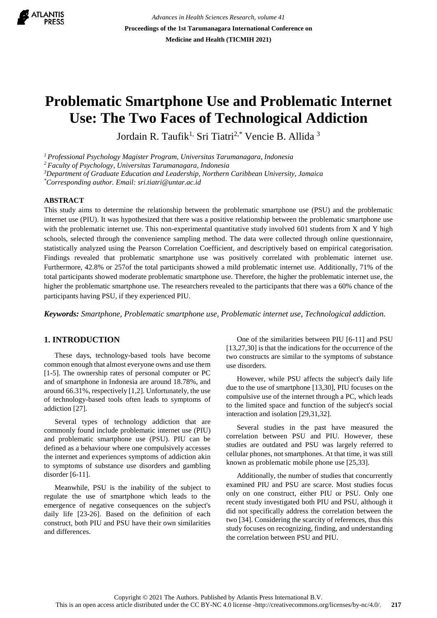

*Advances in Health Sciences Research, volume 41* **Proceedings of the 1st Tarumanagara International Conference on Medicine and Health (TICMIH 2021)**

# **Problematic Smartphone Use and Problematic Internet Use: The Two Faces of Technological Addiction**

Jordain R. Taufik<sup>1,</sup> Sri Tiatri<sup>2,\*</sup> Vencie B. Allida<sup>3</sup>

*<sup>1</sup>Professional Psychology Magister Program, Universitas Tarumanagara, Indonesia*

*<sup>2</sup>Faculty of Psychology, Universitas Tarumanagara, Indonesia*

*<sup>3</sup>Department of Graduate Education and Leadership, Northern Caribbean University, Jamaica*

*\*Corresponding author. Email: sri.tiatri@untar.ac.id*

#### **ABSTRACT**

This study aims to determine the relationship between the problematic smartphone use (PSU) and the problematic internet use (PIU). It was hypothesized that there was a positive relationship between the problematic smartphone use with the problematic internet use. This non-experimental quantitative study involved 601 students from X and Y high schools, selected through the convenience sampling method. The data were collected through online questionnaire, statistically analyzed using the Pearson Correlation Coefficient, and descriptively based on empirical categorisation. Findings revealed that problematic smartphone use was positively correlated with problematic internet use. Furthermore, 42.8% or 257of the total participants showed a mild problematic internet use. Additionally, 71% of the total participants showed moderate problematic smartphone use. Therefore, the higher the problematic internet use, the higher the problematic smartphone use. The researchers revealed to the participants that there was a 60% chance of the participants having PSU, if they experienced PIU.

*Keywords: Smartphone, Problematic smartphone use, Problematic internet use, Technological addiction.*

#### **1. INTRODUCTION**

These days, technology-based tools have become common enough that almost everyone owns and use them [1-5]. The ownership rates of personal computer or PC and of smartphone in Indonesia are around 18.78%, and around 66.31%, respectively [1,2]. Unfortunately, the use of technology-based tools often leads to symptoms of addiction [27].

Several types of technology addiction that are commonly found include problematic internet use (PIU) and problematic smartphone use (PSU). PIU can be defined as a behaviour where one compulsively accesses the internet and experiences symptoms of addiction akin to symptoms of substance use disorders and gambling disorder [6-11].

Meanwhile, PSU is the inability of the subject to regulate the use of smartphone which leads to the emergence of negative consequences on the subject's daily life [23-26]. Based on the definition of each construct, both PIU and PSU have their own similarities and differences.

One of the similarities between PIU [6-11] and PSU [13,27,30] is that the indications for the occurrence of the two constructs are similar to the symptoms of substance use disorders.

However, while PSU affects the subject's daily life due to the use of smartphone [13,30], PIU focuses on the compulsive use of the internet through a PC, which leads to the limited space and function of the subject's social interaction and isolation [29,31,32].

Several studies in the past have measured the correlation between PSU and PIU. However, these studies are outdated and PSU was largely referred to cellular phones, not smartphones. At that time, it was still known as problematic mobile phone use [25,33].

Additionally, the number of studies that concurrently examined PIU and PSU are scarce. Most studies focus only on one construct, either PIU or PSU. Only one recent study investigated both PIU and PSU, although it did not specifically address the correlation between the two [34]. Considering the scarcity of references, thus this study focuses on recognizing, finding, and understanding the correlation between PSU and PIU.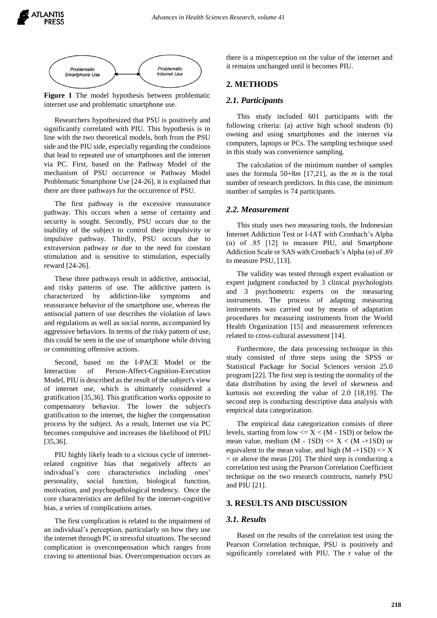

**Figure 1** The model hypothesis between problematic internet use and problematic smartphone use.

Researchers hypothesized that PSU is positively and significantly correlated with PIU. This hypothesis is in line with the two theoretical models, both from the PSU side and the PIU side, especially regarding the conditions that lead to repeated use of smartphones and the internet via PC. First, based on the Pathway Model of the mechanism of PSU occurrence or Pathway Model Problematic Smartphone Use [24-26], it is explained that there are three pathways for the occurrence of PSU.

The first pathway is the excessive reassurance pathway. This occurs when a sense of certainty and security is sought. Secondly, PSU occurs due to the inability of the subject to control their impulsivity or impulsive pathway. Thirdly, PSU occurs due to extraversion pathway or due to the need for constant stimulation and is sensitive to stimulation, especially reward [24-26].

These three pathways result in addictive, antisocial, and risky patterns of use. The addictive pattern is characterized by addiction-like symptoms and reassurance behavior of the smartphone use, whereas the antisocial pattern of use describes the violation of laws and regulations as well as social norms, accompanied by aggressive behaviors. In terms of the risky pattern of use, this could be seen in the use of smartphone while driving or committing offensive actions.

Second, based on the I-PACE Model or the Interaction of Person-Affect-Cognition-Execution Model, PIU is described as the result of the subject's view of internet use, which is ultimately considered a gratification [35,36]. This gratification works opposite to compensatory behavior. The lower the subject's gratification to the internet, the higher the compensation process by the subject. As a result, Internet use via PC becomes compulsive and increases the likelihood of PIU [35,36].

PIU highly likely leads to a vicious cycle of internetrelated cognitive bias that negatively affects an individual's core characteristics including ones' personality, social function, biological function, motivation, and psychopathological tendency. Once the core characteristics are defiled by the internet-cognitive bias, a series of complications arises.

The first complication is related to the impairment of an individual's perception, particularly on how they use the internet through PC in stressful situations. The second complication is overcompensation which ranges from craving to attentional bias. Overcompensation occurs as

there is a misperception on the value of the internet and it remains unchanged until it becomes PIU.

## **2. METHODS**

#### *2.1. Participants*

This study included 601 participants with the following criteria: (a) active high school students (b) owning and using smartphones and the internet via computers, laptops or PCs. The sampling technique used in this study was convenience sampling.

The calculation of the minimum number of samples uses the formula 50+8*m* [17,21], as the *m* is the total number of research predictors. In this case, the minimum number of samples is 74 participants.

#### *2.2. Measurement*

This study uses two measuring tools, the Indonesian Internet Addiction Test or I-IAT with Cronbach's Alpha (α) of .85 [12] to measure PIU, and Smartphone Addiction Scale or SAS with Cronbach's Alpha  $(\alpha)$  of .89 to measure PSU, [13].

The validity was tested through expert evaluation or expert judgment conducted by 3 clinical psychologists and 3 psychometric experts on the measuring instruments. The process of adapting measuring instruments was carried out by means of adaptation procedures for measuring instruments from the World Health Organization [15] and measurement references related to cross-cultural assessment [14].

Furthermore, the data processing technique in this study consisted of three steps using the SPSS or Statistical Package for Social Sciences version 25.0 program [22]. The first step is testing the normality of the data distribution by using the level of skewness and kurtosis not exceeding the value of 2.0 [18,19]. The second step is conducting descriptive data analysis with empirical data categorization.

The empirical data categorization consists of three levels, starting from low  $\leq X \leq (M - 1SD)$  or below the mean value, medium  $(M - 1SD) \le X \le (M - 1SD)$  or equivalent to the mean value, and high  $(M -+1SD) \le X$  $\epsilon$  or above the mean [20]. The third step is conducting a correlation test using the Pearson Correlation Coefficient technique on the two research constructs, namely PSU and PIU [21].

## **3. RESULTS AND DISCUSSION**

### *3.1. Results*

Based on the results of the correlation test using the Pearson Correlation technique, PSU is positively and significantly correlated with PIU. The r value of the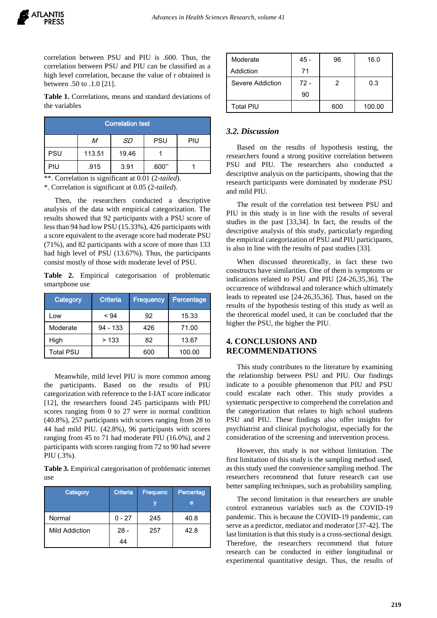correlation between PSU and PIU is .600. Thus, the correlation between PSU and PIU can be classified as a high level correlation, because the value of r obtained is between .50 to .1.0 [21].

**Table 1.** Correlations, means and standard deviations of the variables

| <b>Correlation test</b> |        |           |            |     |  |  |
|-------------------------|--------|-----------|------------|-----|--|--|
|                         | M      | <b>SD</b> | <b>PSU</b> | PIU |  |  |
| PSU                     | 113.51 | 19.46     |            |     |  |  |
| PIU                     | .915   | 3.91      | $.600**$   |     |  |  |

\*\*. Correlation is significant at 0.01 (2*-tailed*).

\*. Correlation is significant at 0.05 (2*-tailed*).

Then, the researchers conducted a descriptive analysis of the data with empirical categorization. The results showed that 92 participants with a PSU score of less than 94 had low PSU (15.33%), 426 participants with a score equivalent to the average score had moderate PSU (71%), and 82 participants with a score of more than 133 had high level of PSU (13.67%). Thus, the participants consist mostly of those with moderate level of PSU.

**Table 2.** Empirical categorisation of problematic smartphone use

| <b>Category</b>  | Criteria   | <b>Frequency</b> | Percentage |
|------------------|------------|------------------|------------|
| Low              | < 94       | 92               | 15.33      |
| Moderate         | $94 - 133$ | 426              | 71.00      |
| High             | >133       | 82               | 13.67      |
| <b>Total PSU</b> |            | 600              | 100.00     |

Meanwhile, mild level PIU is more common among the participants. Based on the results of PIU categorization with reference to the I-IAT score indicator [12], the researchers found 245 participants with PIU scores ranging from 0 to 27 were in normal condition (40.8%), 257 participants with scores ranging from 28 to 44 had mild PIU. (42.8%), 96 participants with scores ranging from 45 to 71 had moderate PIU (16.0%), and 2 participants with scores ranging from 72 to 90 had severe PIU (.3%).

**Table 3.** Empirical categorisation of problematic internet use

| <b>Category</b> | Criteria     | <b>Frequenc</b><br>V | Percentag<br>e |
|-----------------|--------------|----------------------|----------------|
| Normal          | 0 - 27       | 245                  | 40.8           |
| Mild Addiction  | $28 -$<br>44 | 257                  | 42.8           |

| Moderate         | 45 - | 96  | 16.0   |
|------------------|------|-----|--------|
| Addiction        | 71   |     |        |
| Severe Addiction | 72 - | 2   | 0.3    |
|                  | 90   |     |        |
| Total PIU        |      | 600 | 100.00 |

## *3.2. Discussion*

Based on the results of hypothesis testing, the researchers found a strong positive correlation between PSU and PIU. The researchers also conducted a descriptive analysis on the participants, showing that the research participants were dominated by moderate PSU and mild PIU.

The result of the correlation test between PSU and PIU in this study is in line with the results of several studies in the past [33,34]. In fact, the results of the descriptive analysis of this study, particularly regarding the empirical categorization of PSU and PIU participants, is also in line with the results of past studies [33].

When discussed theoretically, in fact these two constructs have similarities. One of them is symptoms or indications related to PSU and PIU [24-26,35,36]. The occurrence of withdrawal and tolerance which ultimately leads to repeated use [24-26,35,36]. Thus, based on the results of the hypothesis testing of this study as well as the theoretical model used, it can be concluded that the higher the PSU, the higher the PIU.

## **4. CONCLUSIONS AND RECOMMENDATIONS**

This study contributes to the literature by examining the relationship between PSU and PIU. Our findings indicate to a possible phenomenon that PIU and PSU could escalate each other. This study provides a systematic perspective to comprehend the correlation and the categorization that relates to high school students PSU and PIU. These findings also offer insights for psychiatrist and clinical psychologist, especially for the consideration of the screening and intervention process.

However, this study is not without limitation. The first limitation of this study is the sampling method used, as this study used the convenience sampling method. The researchers recommend that future research can use better sampling techniques, such as probability sampling.

The second limitation is that researchers are unable control extraneous variables such as the COVID-19 pandemic. This is because the COVID-19 pandemic, can serve as a predictor, mediator and moderator [37-42]. The last limitation is that this study is a cross-sectional design. Therefore, the researchers recommend that future research can be conducted in either longitudinal or experimental quantitative design. Thus, the results of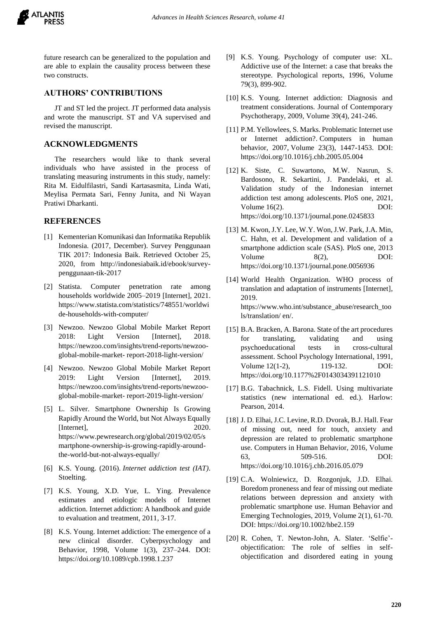future research can be generalized to the population and are able to explain the causality process between these two constructs.

## **AUTHORS' CONTRIBUTIONS**

JT and ST led the project. JT performed data analysis and wrote the manuscript. ST and VA supervised and revised the manuscript.

## **ACKNOWLEDGMENTS**

The researchers would like to thank several individuals who have assisted in the process of translating measuring instruments in this study, namely: Rita M. Eidulfilastri, Sandi Kartasasmita, Linda Wati, Meylisa Permata Sari, Fenny Junita, and Ni Wayan Pratiwi Dharkanti.

## **REFERENCES**

- [1] Kementerian Komunikasi dan Informatika Republik Indonesia. (2017, December). Survey Penggunaan TIK 2017: Indonesia Baik. Retrieved October 25, 2020, from http://indonesiabaik.id/ebook/surveypenggunaan-tik-2017
- [2] Statista. Computer penetration rate among households worldwide 2005–2019 [Internet], 2021. https://www.statista.com/statistics/748551/worldwi de-households-with-computer/
- [3] Newzoo. Newzoo Global Mobile Market Report 2018: Light Version [Internet], 2018. https://newzoo.com/insights/trend-reports/newzooglobal-mobile-market- report-2018-light-version/
- [4] Newzoo. Newzoo Global Mobile Market Report 2019: Light Version [Internet], 2019. https://newzoo.com/insights/trend-reports/newzooglobal-mobile-market- report-2019-light-version/
- [5] L. Silver. Smartphone Ownership Is Growing Rapidly Around the World, but Not Always Equally [Internet], 2020. [https://www.pewresearch.org/global/2019/02/05/s](https://www.pewresearch.org/global/2019/02/05/smartphone-ownership-is-growing-rapidly-around-the-world-but-not-always-equally/) [martphone-ownership-is-growing-rapidly-around](https://www.pewresearch.org/global/2019/02/05/smartphone-ownership-is-growing-rapidly-around-the-world-but-not-always-equally/)[the-world-but-not-always-equally/](https://www.pewresearch.org/global/2019/02/05/smartphone-ownership-is-growing-rapidly-around-the-world-but-not-always-equally/)
- [6] K.S. Young. (2016). *Internet addiction test (IAT)*. Stoelting.
- [7] K.S. Young, X.D. Yue, L. Ying. Prevalence estimates and etiologic models of Internet addiction. Internet addiction: A handbook and guide to evaluation and treatment, 2011, 3-17.
- [8] K.S. Young. Internet addiction: The emergence of a new clinical disorder. Cyberpsychology and Behavior, 1998, Volume 1(3), 237–244. DOI: https://doi.org/10.1089/cpb.1998.1.237
- [9] K.S. Young. Psychology of computer use: XL. Addictive use of the Internet: a case that breaks the stereotype. Psychological reports, 1996, Volume 79(3), 899-902.
- [10] K.S. Young. Internet addiction: Diagnosis and treatment considerations. Journal of Contemporary Psychotherapy, 2009, Volume 39(4), 241-246.
- [11] P.M. Yellowlees, S. Marks. Problematic Internet use or Internet addiction?. Computers in human behavior, 2007, Volume 23(3), 1447-1453. DOI: https://doi.org/10.1016/j.chb.2005.05.004
- [12] K. Siste, C. Suwartono, M.W. Nasrun, S. Bardosono, R. Sekartini, J. Pandelaki, et al. Validation study of the Indonesian internet addiction test among adolescents. PloS one, 2021, Volume 16(2). DOI: <https://doi.org/10.1371/journal.pone.0245833>
- [13] M. Kwon, J.Y. Lee, W.Y. Won, J.W. Park, J.A. Min, C. Hahn, et al. Development and validation of a smartphone addiction scale (SAS). PloS one, 2013 Volume 8(2), DOI: https://doi.org/10.1371/journal.pone.0056936
- [14] World Health Organization. WHO process of translation and adaptation of instruments [Internet], 2019. https://www.who.int/substance\_abuse/research\_too ls/translation/ en/.
- [15] B.A. Bracken, A. Barona. State of the art procedures for translating, validating and using psychoeducational tests in cross-cultural assessment. School Psychology International, 1991, Volume 12(1-2), 119-132. DOI: https://doi.org/10.1177%2F0143034391121010
- [17] B.G. Tabachnick, L.S. Fidell. Using multivariate statistics (new international ed. ed.). Harlow: Pearson, 2014.
- [18] J. D. Elhai, J.C. Levine, R.D. Dvorak, B.J. Hall. Fear of missing out, need for touch, anxiety and depression are related to problematic smartphone use. Computers in Human Behavior, 2016, Volume 63, 509-516. DOI: https://doi.org/10.1016/j.chb.2016.05.079
- [19] C.A. Wolniewicz, D. Rozgonjuk, J.D. Elhai. Boredom proneness and fear of missing out mediate relations between depression and anxiety with problematic smartphone use. Human Behavior and Emerging Technologies, 2019, Volume 2(1), 61-70. DOI: https://doi.org/10.1002/hbe2.159
- [20] R. Cohen, T. Newton-John, A. Slater. 'Selfie' objectification: The role of selfies in selfobjectification and disordered eating in young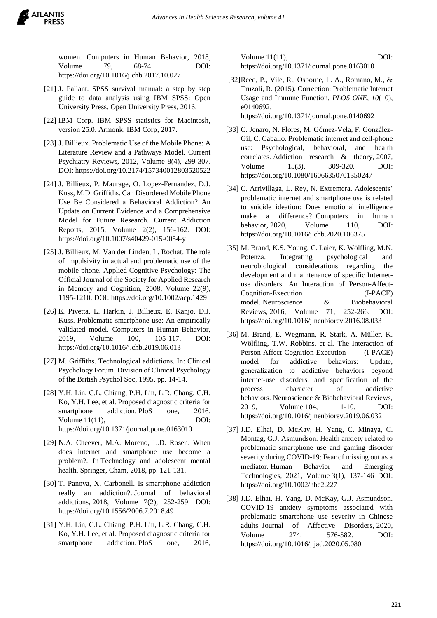women. Computers in Human Behavior, 2018, Volume 79, 68-74. DOI: https://doi.org/10.1016/j.chb.2017.10.027

- [21] J. Pallant. SPSS survival manual: a step by step guide to data analysis using IBM SPSS: Open University Press. Open University Press, 2016.
- [22] IBM Corp. IBM SPSS statistics for Macintosh, version 25.0. Armonk: IBM Corp, 2017.
- [23] J. Billieux. Problematic Use of the Mobile Phone: A Literature Review and a Pathways Model. Current Psychiatry Reviews, 2012, Volume 8(4), 299-307. DOI: https://doi.org/10.2174/157340012803520522
- [24] J. Billieux, P. Maurage, O. Lopez-Fernandez, D.J. Kuss, M.D. Griffiths. Can Disordered Mobile Phone Use Be Considered a Behavioral Addiction? An Update on Current Evidence and a Comprehensive Model for Future Research. Current Addiction Reports, 2015, Volume 2(2), 156-162. DOI: https://doi.org/10.1007/s40429-015-0054-y
- [25] J. Billieux, M. Van der Linden, L. Rochat. The role of impulsivity in actual and problematic use of the mobile phone. Applied Cognitive Psychology: The Official Journal of the Society for Applied Research in Memory and Cognition, 2008, Volume 22(9), 1195-1210. DOI: https://doi.org/10.1002/acp.1429
- [26] E. Pivetta, L. Harkin, J. Billieux, E. Kanjo, D.J. Kuss. Problematic smartphone use: An empirically validated model. Computers in Human Behavior, 2019, Volume 100, 105-117. DOI: https://doi.org/10.1016/j.chb.2019.06.013
- [27] M. Griffiths. Technological addictions. In: Clinical Psychology Forum. Division of Clinical Psychology of the British Psychol Soc, 1995, pp. 14-14.
- [28] Y.H. Lin, C.L. Chiang, P.H. Lin, L.R. Chang, C.H. Ko, Y.H. Lee, et al. Proposed diagnostic criteria for smartphone addiction. PloS one, 2016, Volume 11(11), DOI: https://doi.org/10.1371/journal.pone.0163010
- [29] N.A. Cheever, M.A. Moreno, L.D. Rosen. When does internet and smartphone use become a problem?. In Technology and adolescent mental health. Springer, Cham, 2018, pp. 121-131.
- [30] T. Panova, X. Carbonell. Is smartphone addiction really an addiction?. Journal of behavioral addictions, 2018, Volume 7(2), 252-259. DOI: https://doi.org/10.1556/2006.7.2018.49
- [31] Y.H. Lin, C.L. Chiang, P.H. Lin, L.R. Chang, C.H. Ko, Y.H. Lee, et al. Proposed diagnostic criteria for smartphone addiction. PloS one, 2016,

Volume 11(11), DOI: https://doi.org/10.1371/journal.pone.0163010

- [32]Reed, P., Vile, R., Osborne, L. A., Romano, M., & Truzoli, R. (2015). Correction: Problematic Internet Usage and Immune Function. *PLOS ONE*, *10*(10), e0140692. https://doi.org/10.1371/journal.pone.0140692
- [33] C. Jenaro, N. Flores, M. Gómez-Vela, F. González-Gil, C. Caballo. Problematic internet and cell-phone use: Psychological, behavioral, and health correlates. Addiction research & theory, 2007, Volume 15(3), 309-320. DOI: https://doi.org/10.1080/16066350701350247
- [34] C. Arrivillaga, L. Rey, N. Extremera. Adolescents' problematic internet and smartphone use is related to suicide ideation: Does emotional intelligence make a difference?. Computers in human behavior, 2020, Volume 110, DOI: https://doi.org/10.1016/j.chb.2020.106375
- [35] M. Brand, K.S. Young, C. Laier, K. Wölfling, M.N. Potenza. Integrating psychological neurobiological considerations regarding the development and maintenance of specific Internetuse disorders: An Interaction of Person-Affect-Cognition-Execution (I-PACE) model. Neuroscience & Biobehavioral Reviews, 2016, Volume 71, 252-266. DOI: https://doi.org/10.1016/j.neubiorev.2016.08.033
- [36] M. Brand, E. Wegmann, R. Stark, A. Müller, K. Wölfling, T.W. Robbins, et al. The Interaction of Person-Affect-Cognition-Execution (I-PACE) model for addictive behaviors: Update, generalization to addictive behaviors beyond internet-use disorders, and specification of the process character of addictive behaviors. Neuroscience & Biobehavioral Reviews, 2019, Volume 104, 1-10. DOI: https://doi.org/10.1016/j.neubiorev.2019.06.032
- [37] J.D. Elhai, D. McKay, H. Yang, C. Minaya, C. Montag, G.J. Asmundson. Health anxiety related to problematic smartphone use and gaming disorder severity during COVID‐19: Fear of missing out as a mediator. Human Behavior and Emerging Technologies, 2021, Volume 3(1), 137-146 DOI: https://doi.org/10.1002/hbe2.227
- [38] J.D. Elhai, H. Yang, D. McKay, G.J. Asmundson. COVID-19 anxiety symptoms associated with problematic smartphone use severity in Chinese adults. Journal of Affective Disorders, 2020, Volume 274, 576-582. DOI: https://doi.org/10.1016/j.jad.2020.05.080